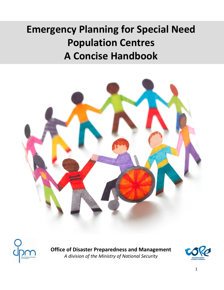# **Emergency Planning for Special Need Population Centres A Concise Handbook**





**Office of Disaster Preparedness and Management**  *A division of the Ministry of National Security* 

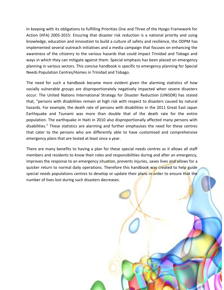In keeping with its obligations to fulfilling Priorities One and Three of the Hyogo Framework for Action (HFA) 2005-2015: Ensuring that disaster risk reduction is a national priority and using knowledge, education and innovation to build a culture of safety and resilience, the ODPM has implemented several outreach initiatives and a media campaign that focuses on enhancing the awareness of the citizenry to the various hazards that could impact Trinidad and Tobago and ways in which they can mitigate against them. Special emphasis has been placed on emergency planning in various sectors. This concise handbook is specific to emergency planning for Special Needs Population Centres/Homes in Trinidad and Tobago.

The need for such a handbook became more evident given the alarming statistics of how socially vulnerable groups are disproportionately negatively impacted when severe disasters occur. The United Nations International Strategy for Disaster Reduction (UNISDR) has stated that, "persons with disabilities remain at high risk with respect to disasters caused by natural hazards. For example, the death rate of persons with disabilities in the 2011 Great East Japan Earthquake and Tsunami was more than double that of the death rate for the entire population. The earthquake in Haiti in 2010 also disproportionally affected many persons with disabilities." These statistics are alarming and further emphasises the need for these centres that cater to the persons who are differently able to have customised and comprehensive emergency plans that are tested at least once a year.

There are many benefits to having a plan for these special needs centres as it allows all staff members and residents to know their roles and responsibilities during and after an emergency, improves the response to an emergency situation, prevents injuries, saves lives and allows for a quicker return to normal daily operations. Therefore this handbook was created to help guide special needs populations centres to develop or update their plans in order to ensure that the number of lives lost during such disasters decreases.

ı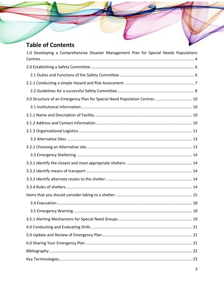## **Table of Contents**

| 1.0 Developing a Comprehensive Disaster Management Plan for Special Needs Populations |
|---------------------------------------------------------------------------------------|
|                                                                                       |
|                                                                                       |
|                                                                                       |
|                                                                                       |
| 3.0 Structure of an Emergency Plan for Special Need Population Centres 10             |
|                                                                                       |
|                                                                                       |
|                                                                                       |
|                                                                                       |
|                                                                                       |
|                                                                                       |
|                                                                                       |
|                                                                                       |
|                                                                                       |
|                                                                                       |
|                                                                                       |
|                                                                                       |
|                                                                                       |
|                                                                                       |
|                                                                                       |
|                                                                                       |
|                                                                                       |
|                                                                                       |
|                                                                                       |
|                                                                                       |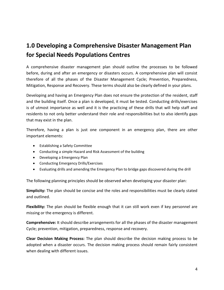## <span id="page-3-0"></span>**1.0 Developing a Comprehensive Disaster Management Plan for Special Needs Populations Centres**

A comprehensive disaster management plan should outline the processes to be followed before, during and after an emergency or disasters occurs. A comprehensive plan will consist therefore of all the phases of the Disaster Management Cycle; Prevention, Preparedness, Mitigation, Response and Recovery. These terms should also be clearly defined in your plans.

Developing and having an Emergency Plan does not ensure the protection of the resident, staff and the building itself. Once a plan is developed, it must be tested. Conducting drills/exercises is of utmost importance as well and it is the practicing of these drills that will help staff and residents to not only better understand their role and responsibilities but to also identify gaps that may exist in the plan.

Therefore, having a plan is just one component in an emergency plan, there are other important elements:

- Establishing a Safety Committee
- Conducting a simple Hazard and Risk Assessment of the building
- Developing a Emergency Plan
- Conducting Emergency Drills/Exercises
- Evaluating drills and amending the Emergency Plan to bridge gaps discovered during the drill

The following planning principles should be observed when developing your disaster plan:

**Simplicity:** The plan should be concise and the roles and responsibilities must be clearly stated and outlined.

**Flexibility:** The plan should be flexible enough that it can still work even if key personnel are missing or the emergency is different.

**Comprehensive:** It should describe arrangements for all the phases of the disaster management Cycle; prevention, mitigation, preparedness, response and recovery.

**Clear Decision Making Process:** The plan should describe the decision making process to be adopted when a disaster occurs. The decision making process should remain fairly consistent when dealing with different issues.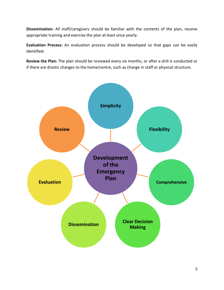**Dissemination:** All staff/caregivers should be familiar with the contents of the plan, receive appropriate training and exercise the plan at least once yearly.

**Evaluation Process:** An evaluation process should be developed so that gaps can be easily identified.

**Review the Plan:** The plan should be reviewed every six months, or after a drill is conducted or if there are drastic changes to the home/centre, such as change in staff or physical structure.

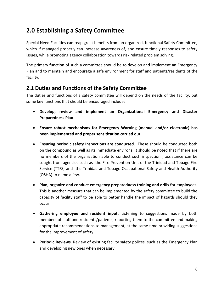## <span id="page-5-0"></span>**2.0 Establishing a Safety Committee**

Special Need Facilities can reap great benefits from an organized, functional Safety Committee, which if managed properly can increase awareness of, and ensure timely responses to safety issues, while promoting agency collaboration towards risk related problem solving.

The primary function of such a committee should be to develop and implement an Emergency Plan and to maintain and encourage a safe environment for staff and patients/residents of the facility.

## <span id="page-5-1"></span>**2.1 Duties and Functions of the Safety Committee**

The duties and functions of a safety committee will depend on the needs of the facility, but some key functions that should be encouraged include:

- **Develop, review and implement an Organizational Emergency and Disaster Preparedness Plan**.
- **Ensure robust mechanisms for Emergency Warning (manual and/or electronic) has been implemented and proper sensitization carried out.**
- **Ensuring periodic safety Inspections are conducted**. These should be conducted both on the compound as well as its immediate environs. It should be noted that if there are no members of the organization able to conduct such inspection , assistance can be sought from agencies such as the Fire Prevention Unit of the Trinidad and Tobago Fire Service (TTFS) and the Trinidad and Tobago Occupational Safety and Health Authority (OSHA) to name a few.
- **Plan, organize and conduct emergency preparedness training and drills for employees.**  This is another measure that can be implemented by the safety committee to build the capacity of facility staff to be able to better handle the impact of hazards should they occur.
- **Gathering employee and resident input.** Listening to suggestions made by both members of staff and residents/patients, reporting them to the committee and making appropriate recommendations to management, at the same time providing suggestions for the improvement of safety.
- **Periodic Reviews**. Review of existing facility safety polices, such as the Emergency Plan and developing new ones when necessary.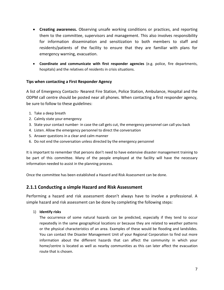- **Creating awareness.** Observing unsafe working conditions or practices, and reporting them to the committee, supervisors and management. This also involves responsibility for information dissemination and sensitization to both members to staff and residents/patients of the facility to ensure that they are familiar with plans for emergency warning, evacuation.
- **Coordinate and communicate with first responder agencies** (e.g. police, fire departments, hospitals) and the relatives of residents in crisis situations.

## **Tips when contacting a First Responder Agency**

A list of Emergency Contacts- Nearest Fire Station, Police Station, Ambulance, Hospital and the ODPM call centre should be posted near all phones. When contacting a first responder agency, be sure to follow to these guidelines:

- 1. Take a deep breath
- 2. Calmly state your emergency
- 3. State your contact number- in case the call gets cut, the emergency personnel can call you back
- 4. Listen. Allow the emergency personnel to direct the conversation
- 5. Answer questions in a clear and calm manner
- 6. Do not end the conversation unless directed by the emergency personnel

It is important to remember that persons don't need to have extensive disaster management training to be part of this committee. Many of the people employed at the facility will have the necessary information needed to assist in the planning process.

Once the committee has been established a Hazard and Risk Assessment can be done.

## <span id="page-6-0"></span>**2.1.1 Conducting a simple Hazard and Risk Assessment**

Performing a hazard and risk assessment doesn't always have to involve a professional. A simple hazard and risk assessment can be done by completing the following steps:

## 1) **Identify risks**

The occurrence of some natural hazards can be predicted, especially if they tend to occur repeatedly in the same geographical locations or because they are related to weather patterns or the physical characteristics of an area. Examples of these would be flooding and landslides. You can contact the Disaster Management Unit of your Regional Corporation to find out more information about the different hazards that can affect the community in which your home/centre is located as well as nearby communities as this can later affect the evacuation route that is chosen.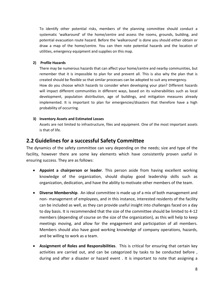To identify other potential risks, members of the planning committee should conduct a systematic 'walkaround' of the home/centre and assess the rooms, grounds, building, and potential evacuation route hazard. Before the 'walkaround' is done you should either obtain or draw a map of the home/centre. You can then note potential hazards and the location of utilities, emergency equipment and supplies on this map.

### **2) Profile Hazards**

There may be numerous hazards that can affect your home/centre and nearby communities, but remember that it is impossible to plan for and prevent all. This is also why the plan that is created should be flexible so that similar processes can be adopted to suit any emergency. How do you choose which hazards to consider when developing your plan? Different hazards will impact different communities in different ways, based on its vulnerabilities such as local development, population distribution, age of buildings, and mitigation measures already implemented. It is important to plan for emergencies/disasters that therefore have a high probability of occurring.

#### **3) Inventory Assets and Estimated Losses**

Assets are not limited to infrastructure, files and equipment. One of the most important assets is that of life.

## <span id="page-7-0"></span>**2.2 Guidelines for a successful Safety Committee**

The dynamics of the safety committee can vary depending on the needs; size and type of the facility, however there are some key elements which have consistently proven useful in ensuring success. They are as follows:

- **Appoint a chairperson or leader**. This person aside from having excellent working knowledge of the organization, should display good leadership skills such as organization, dedication, and have the ability to motivate other members of the team.
- **Diverse Membership**. An ideal committee is made up of a mix of both management and non- management of employees, and in this instance, interested residents of the facility can be included as well, as they can provide useful insight into challenges faced on a day to day basis. It is recommended that the size of the committee should be limited to 4-12 members (depending of course on the size of the organization), as this will help to keep meetings moving, and allow for the engagement and participation of all members. Members should also have good working knowledge of company operations, hazards, and be willing to work as a team.
- **Assignment of Roles and Responsibilities**. This is critical for ensuring that certain key activities are carried out, and can be categorized by tasks to be conducted before , during and after a disaster or hazard event . It is important to note that assigning a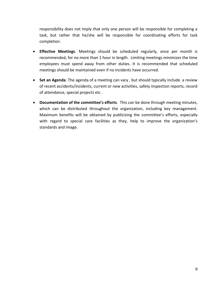responsibility does not imply that only one person will be responsible for completing a task, but rather that he/she will be responsible for coordinating efforts for task completion.

- **Effective Meetings**. Meetings should be scheduled regularly, once per month is recommended, for no more than 1 hour in length. Limiting meetings minimizes the time employees must spend away from other duties. It is recommended that scheduled meetings should be maintained even if no incidents have occurred.
- **Set an Agenda**. The agenda of a meeting can vary , but should typically include a review of recent accidents/incidents, current or new activities, safety inspection reports, record of attendance, special projects etc .
- **Documentation of the committee's efforts**. This can be done through meeting minutes, which can be distributed throughout the organization, including key management. Maximum benefits will be obtained by publicizing the committee's efforts, especially with regard to special care facilities as they, help to improve the organization's standards and image.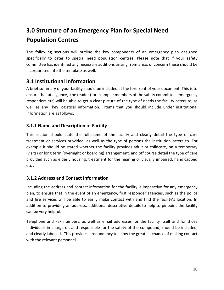## <span id="page-9-0"></span>**3.0 Structure of an Emergency Plan for Special Need Population Centres**

The following sections will outline the key components of an emergency plan designed specifically to cater to special need population centres. Please note that if your safety committee has identified any necessary additions arising from areas of concern these should be incorporated into the template as well.

## <span id="page-9-1"></span>**3.1 Institutional Information**

A brief summary of your facility should be included at the forefront of your document. This is to ensure that at a glance, the reader (for example: members of the safety committee, emergency responders etc) will be able to get a clear picture of the type of needs the facility caters to, as well as any key logistical information. Items that you should include under institutional information are as follows:

## <span id="page-9-2"></span>**3.1.1 Name and Description of Facility**

This section should state the full name of the facility and clearly detail the type of care treatment or services provided, as well as the type of persons the institution caters to. For example it should be stated whether the facility provides adult or childcare, on a temporary (visits) or long term (overnight or boarding) arrangement, and off course detail the type of care provided such as elderly housing, treatment for the hearing or visually impaired, handicapped etc .

## <span id="page-9-3"></span>**3.1.2 Address and Contact Information**

Including the address and contact information for the facility is imperative for any emergency plan, to ensure that in the event of an emergency, first responder agencies, such as the police and fire services will be able to easily make contact with and find the facility's location. In addition to providing an address, additional descriptive details to help to pinpoint the facility can be very helpful.

Telephone and Fax numbers, as well as email addresses for the facility itself and for those individuals in charge of, and responsible for the safety of the compound, should be included, and clearly labelled. This provides a redundancy to allow the greatest chance of making contact with the relevant personnel.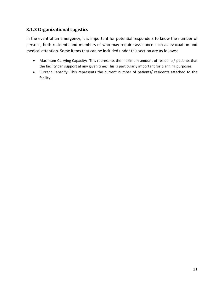## <span id="page-10-0"></span>**3.1.3 Organizational Logistics**

In the event of an emergency, it is important for potential responders to know the number of persons, both residents and members of who may require assistance such as evacuation and medical attention. Some items that can be included under this section are as follows:

- Maximum Carrying Capacity: This represents the maximum amount of residents/ patients that the facility can support at any given time. This is particularly important for planning purposes.
- Current Capacity: This represents the current number of patients/ residents attached to the facility.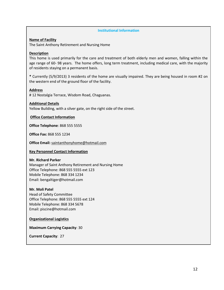#### **Institutional Information**

#### **Name of Facility**

The Saint Anthony Retirement and Nursing Home

#### **Description**

This home is used primarily for the care and treatment of both elderly men and women, falling within the age range of 60- 98 years. The home offers, long term treatment, including medical care, with the majority of residents staying on a permanent basis.

**\*** Currently (5/9/2013) 3 residents of the home are visually impaired. They are being housed in room #2 on the western end of the ground floor of the facility.

### **Address**

# 12 Nostalgia Terrace, Wisdom Road, Chaguanas.

#### **Additional Details**

Yellow Building, with a silver gate, on the right side of the street.

#### **Office Contact Information**

**Office Telephone**: 868 555 5555

**Office Fax:** 868 555 1234

**Office Email:** [saintanthonyhome@hotmail.com](mailto:saintanthonyhome@hotmail.com)

#### **Key Personnel Contact Information**

#### **Mr. Richard Parker**

Manager of Saint Anthony Retirement and Nursing Home Office Telephone: 868 555 5555 ext 123 Mobile Telephone: 868 334 1234 Email: bengaltiger@hotmail.com

#### **Mr. Moli Patel**

Head of Safety Committee Office Telephone: 868 555 5555 ext 124 Mobile Telephone: 868 334 5678 Email: piscine@hotmail.com

#### **Organizational Logistics**

**Maximum Carrying Capacity**: 30

**Current Capacity**: 27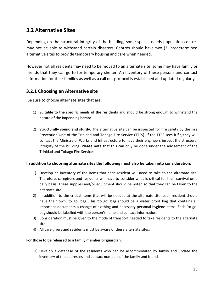## <span id="page-12-0"></span>**3.2 Alternative Sites**

Depending on the structural integrity of the building, some special needs population centres may not be able to withstand certain disasters. Centres should have two (2) predetermined alternative sites to provide temporary housing and care when needed.

However not all residents may need to be moved to an alternate site, some may have family or friends that they can go to for temporary shelter. An inventory of these persons and contact information for their families as well as a call out protocol is established and updated regularly.

## <span id="page-12-1"></span>**3.2.1 Choosing an Alternative site**

Be sure to choose alternate sites that are:

- 1) **Suitable to the specific needs of the residents** and should be strong enough to withstand the nature of the impending hazard.
- 2) **Structurally sound and sturdy.** The alternative site can be inspected for fire safety by the Fire Prevention Unit of the Trinidad and Tobago Fire Service (TTFS). If the TTFS sees it fit, they will contact the Ministry of Works and Infrastructure to have their engineers inspect the structural integrity of the building. **Please note** that this can only be done under the advisement of the Trinidad and Tobago Fire Services.

## **In addition to choosing alternate sites the following must also be taken into consideration:**

- 1) Develop an inventory of the items that each resident will need to take to the alternate site. Therefore, caregivers and residents will have to consider what is critical for their survival on a daily basis. These supplies and/or equipment should be noted so that they can be taken to the alternate site.
- 2) In addition to the critical items that will be needed at the alternate site, each resident should have their own 'to go' bag. This 'to go' bag should be a water proof bag that contains all important documents a change of clothing and necessary personal hygiene items. Each 'to go' bag should be labelled with the person's name and contact information.
- 3) Consideration must be given to the mode of transport needed to take residents to the alternate site.
- 4) All care givers and residents must be aware of these alternate sites.

## **For those to be released to a family member or guardian:**

1) Develop a database of the residents who can be accommodated by family and update the inventory of the addresses and contact numbers of the family and friends.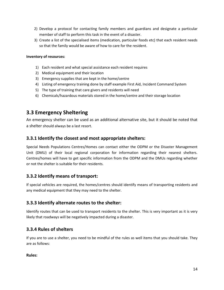- 2) Develop a protocol for contacting family members and guardians and designate a particular member of staff to perform this task in the event of a disaster.
- 3) Create a list of the specialised items (medication, particular foods etc) that each resident needs so that the family would be aware of how to care for the resident.

### **Inventory of resources:**

- 1) Each resident and what special assistance each resident requires
- 2) Medical equipment and their location
- 3) Emergency supplies that are kept in the home/centre
- 4) Listing of emergency training done by staff example First Aid, Incident Command System
- 5) The type of training that care givers and residents will need
- 6) Chemicals/hazardous materials stored in the home/centre and their storage location

## <span id="page-13-0"></span>**3.3 Emergency Sheltering**

An emergency shelter can be used as an additional alternative site, but it should be noted that a shelter should always be a last resort.

## <span id="page-13-1"></span>**3.3.1 Identify the closest and most appropriate shelters:**

Special Needs Populations Centres/Homes can contact either the ODPM or the Disaster Management Unit (DMU) of their local regional corporation for information regarding their nearest shelters. Centres/homes will have to get specific information from the ODPM and the DMUs regarding whether or not the shelter is suitable for their residents.

## <span id="page-13-2"></span>**3.3.2 Identify means of transport:**

If special vehicles are required, the homes/centres should identify means of transporting residents and any medical equipment that they may need to the shelter.

## <span id="page-13-3"></span>**3.3.3 Identify alternate routes to the shelter:**

Identify routes that can be used to transport residents to the shelter. This is very important as it is very likely that roadways will be negatively impacted during a disaster.

## <span id="page-13-4"></span>**3.3.4 Rules of shelters**

If you are to use a shelter, you need to be mindful of the rules as well items that you should take. They are as follows:

## **Rules:**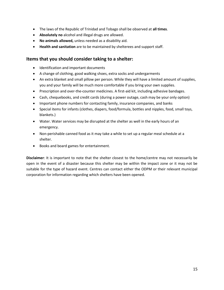- The laws of the Republic of Trinidad and Tobago shall be observed at **all times**.
- **Absolutely no** alcohol and illegal drugs are allowed.
- **No animals allowed,** unless needed as a disability aid.
- **Health and sanitation** are to be maintained by shelterees and support staff.

## <span id="page-14-0"></span>**Items that you should consider taking to a shelter:**

- Identification and important documents
- A change of clothing, good walking shoes, extra socks and undergarments
- An extra blanket and small pillow per person. While they will have a limited amount of supplies, you and your family will be much more comfortable if you bring your own supplies.
- Prescription and over-the-counter medicines. A first-aid kit, including adhesive bandages.
- Cash, chequebooks, and credit cards (during a power outage, cash may be your only option)
- Important phone numbers for contacting family, insurance companies, and banks
- Special items for infants (clothes, diapers, food/formula, bottles and nipples, food, small toys, blankets.)
- Water. Water services may be disrupted at the shelter as well in the early hours of an emergency.
- Non-perishable canned food as it may take a while to set up a regular meal schedule at a shelter.
- Books and board games for entertainment.

**Disclaimer**: It is important to note that the shelter closest to the home/centre may not necessarily be open in the event of a disaster because this shelter may be within the impact zone or it may not be suitable for the type of hazard event. Centres can contact either the ODPM or their relevant municipal corporation for information regarding which shelters have been opened.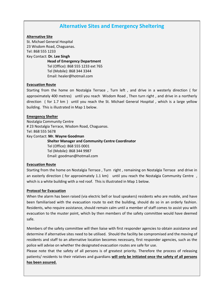## **Alternative Sites and Emergency Sheltering**

#### **Alternative Site**

St. Michael General Hospital 23 Wisdom Road, Chaguanas. Tel: 868 555 1233

Key Contact: **Dr. Lee Singh** 

**Head of Emergency Department**  Tel (Office): 868 555 1233 ext 765 Tel (Mobile): 868 344 3344 Email: healer@hotmail.com

#### **Evacuation Route**

Starting from the home on Nostalgia Terrace , Turn left , and drive in a westerly direction ( for approximately 400 metres) until you reach Wisdom Road , Then turn right , and drive in a northerly direction ( for 1.7 km ) until you reach the St. Michael General Hospital , which is a large yellow building.This is illustrated in Map 1 below.

#### **Emergency Shelter**

Nostalgia Community Centre # 23 Nostalgia Terrace, Wisdom Road, Chaguanas. Tel: 868 555 5678 Key Contact: **Mr. Wayne Goodman Shelter Manager and Community Centre Coordinator**  Tel (Office): 868 555 0001 Tel (Mobile): 868 344 9987

Email: goodman@hotmail.com

#### **Evacuation Route**

Starting from the home on Nostalgia Terrace , Turn right , remaining on Nostalgia Terrace and drive in an easterly direction (for approximately 1.1 km) until you reach the Nostalgia Community Centre, which is a white building with a red roof.This is illustrated in Map 1 below.

#### **Protocol for Evacuation**

When the alarm has been raised (via electric bell or loud speakers) residents who are mobile, and have been familiarised with the evacuation route to exit the building, should do so in an orderly fashion. Residents, who require assistance, should remain calm until a member of staff comes to assist you with evacuation to the muster point, which by then members of the safety committee would have deemed safe.

Members of the safety committee will then liaise with first responder agencies to obtain assistance and determine if alternative sites need to be utilised. Should the facility be compromised and the moving of residents and staff to an alternative location becomes necessary, first responder agencies, such as the police will advise on whether the designated evacuation routes are safe for use.

Please note that the safety of all persons is of greatest priority. Therefore the process of releasing patients/ residents to their relatives and guardians **will only be initiated once the safety of all persons has been assured.**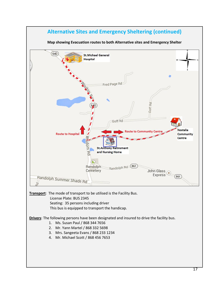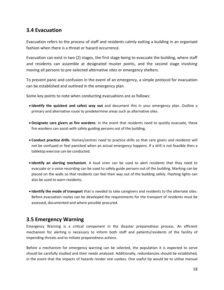## <span id="page-17-0"></span>**3.4 Evacuation**

Evacuation refers to the process of staff and residents calmly exiting a building in an organised fashion when there is a threat or hazard occurrence.

Evacuation can exist in two (2) stages, the first stage being to evacuate the building, where staff and residents can assemble at designated muster points, and the second stage involving moving all persons to pre-selected alternative sites or emergency shelters.

To prevent panic and confusion in the event of an emergency, a simple protocol for evacuation can be established and outlined in the emergency plan.

Some key points to note when conducting evacuations are as follows:

- **Identify the quickest and safest way out** and document this in your emergency plan. Outline a primary and alternative route to predetermine areas such as alternative sites.
- **Designate care givers as fire wardens**. In the event that residents need to quickly evacuate, these fire wardens can assist with safely guiding persons out of the building.
- **Conduct practice drills**. Homes/centres need to practice drills so that care givers and residents will not be confused or feel panicked when an actual emergency happens. If a drill is not feasible then a tabletop exercise can be conducted.
- **Identify an alerting mechanism**. A loud siren can be used to alert residents that they need to evacuate or a voice recording can be used to safely guide persons out of the building. Marking can be placed on the walls so that residents can feel their way out of the building safely. Flashing lights can also be used to warn residents.
- **Identify the mode of transport** that is needed to take caregivers and residents to the alternate sites. Before evacuation routes can be developed the requirements for the transport of residents must be assessed, documented and where possible procured.

## <span id="page-17-1"></span>**3.5 Emergency Warning**

Emergency Warning is a critical component in the disaster preparedness process. An efficient mechanism for alerting is necessary to inform both staff and patients/residents of the facility of impending threats and to initiate preparedness actions.

Before a mechanism for emergency warning can be selected, the population it is expected to serve should be carefully studied and their needs analysed. Additionally, redundancies should be established, in the event that the impacts of hazards render one useless. One useful tip would be to utilise manual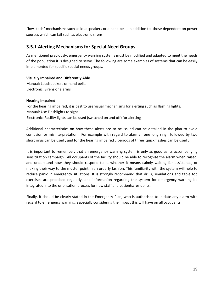"low- tech" mechanisms such as loudspeakers or a hand bell , in addition to those dependent on power sources which can fail such as electronic sirens .

## <span id="page-18-0"></span>**3.5.1 Alerting Mechanisms for Special Need Groups**

As mentioned previously, emergency warning systems must be modified and adapted to meet the needs of the population it is designed to serve. The following are some examples of systems that can be easily implemented for specific special needs groups.

## **Visually Impaired and Differently Able**

Manual: Loudspeakers or hand bells. Electronic: Sirens or alarms

## **Hearing Impaired**

For the hearing impaired, it is best to use visual mechanisms for alerting such as flashing lights. Manual: Use Flashlights to signal Electronic: Facility lights can be used (switched on and off) for alerting

Additional characteristics on how these alerts are to be issued can be detailed in the plan to avoid confusion or misinterpretation. For example with regard to alarms , one long ring , followed by two short rings can be used , and for the hearing impaired , periods of three quick flashes can be used .

It is important to remember, that an emergency warning system is only as good as its accompanying sensitization campaign. All occupants of the facility should be able to recognise the alarm when raised, and understand how they should respond to it, whether it means calmly waiting for assistance, or making their way to the muster point in an orderly fashion. This familiarity with the system will help to reduce panic in emergency situations. It is strongly recommend that drills, simulations and table top exercises are practiced regularly, and information regarding the system for emergency warning be integrated into the orientation process for new staff and patients/residents.

Finally, it should be clearly stated in the Emergency Plan, who is authorised to initiate any alarm with regard to emergency warning, especially considering the impact this will have on all occupants.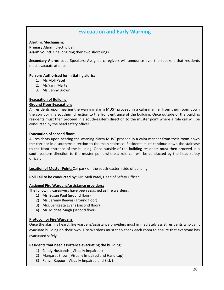## **Evacuation and Early Warning**

#### **Alerting Mechanism:**

**Primary Alarm**: Electric Bell. **Alarm Sound**: One long ring then two short rings

**Secondary Alarm**: Loud Speakers: Assigned caregivers will announce over the speakers that residents must evacuate at once.

### **Persons Authorised for initiating alerts:**

- 1. Mr.Moli Patel
- 2. Mr.Yann Martel
- 3. Ms. Jenny Brown

### **Evacuation of Building**

### **Ground Floor Evacuation:**

All residents upon hearing the warning alarm MUST proceed in a calm manner from their room down the corridor in a southern direction to the front entrance of the building. Once outside of the building residents must then proceed in a south-eastern direction to the muster point where a role call will be conducted by the head safety officer.

### **Evacuation of second floor:**

All residents upon hearing the warning alarm MUST proceed in a calm manner from their room down the corridor in a southern direction to the main staircase. Residents must continue down the staircase to the front entrance of the building. Once outside of the building residents must then proceed in a south-eastern direction to the muster point where a role call will be conducted by the head safety officer.

**Location of Muster Point:** Car park on the south-eastern side of building.

**Roll Call to be conducted by:** Mr. Moli Patel, Head of Safety Officer

#### **Assigned Fire Wardens/assistance providers:**

The following caregivers have been assigned as fire wardens:

- 1) Ms. Susan Paul (ground floor)
- 2) Mr. Jeremy Reeves (ground floor)
- 3) Mrs. Sangeeta Evans (second floor)
- 4) Mr. Michael Singh (second floor)

## **Protocol for Fire Wardens:**

Once the alarm is heard, fire wardens/assistance providers must immediately assist residents who can't evacuate building on their own. Fire Wardens must then check each room to ensure that everyone has evacuated safely.

#### **Residents that need assistance evacuating the building:**

- 1) Candy Husbands ( Visually Impaired )
- 2) Margaret Snow ( Visually Impaired and Handicap)
- 3) Ranvir Kapoor ( Visually Impaired and Sick )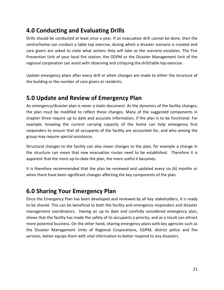## <span id="page-20-0"></span>**4.0 Conducting and Evaluating Drills**

Drills should be conducted at least once a year. If an evacuation drill cannot be done, then the centre/home can conduct a table top exercise, during which a disaster scenario is created and care givers are asked to state what actions they will take as the scenario escalates. The Fire Prevention Unit of your local fire station, the ODPM or the Disaster Management Unit of the regional corporation can assist with observing and critiquing the drill/table top exercise.

Update emergency plans after every drill or when changes are made to either the structure of the building or the number of care givers or residents.

## <span id="page-20-1"></span>**5.0 Update and Review of Emergency Plan**

An emergency/disaster plan is never a static document. As the dynamics of the facility changes, the plan must be modified to reflect these changes. Many of the suggested components in chapter three require up to date and accurate information, if the plan is to be functional. For example, knowing the current carrying capacity of the home can help emergency first responders to ensure that all occupants of the facility are accounted for, and who among the group may require special assistance.

Structural changes to the facility can also mean changes to the plan, for example a change in the structure can mean that new evacuation routes need to be established. Therefore it is apparent that the more up-to-date the plan, the more useful it becomes.

It is therefore recommended that the plan be reviewed and updated every six (6) months or when there have been significant changes affecting the key components of the plan.

## <span id="page-20-2"></span>**6.0 Sharing Your Emergency Plan**

Once the Emergency Plan has been developed and reviewed by all key stakeholders, it is ready to be shared. This can be beneficial to both the facility and emergency responders and disaster management coordinators. Having an up to date and carefully considered emergency plan, shows that the facility has made the safety of its occupants a priority, and as a result can attract more potential business. On the other hand, sharing emergency plans with key agencies such as the Disaster Management Units of Regional Corporations, ODPM, district police and fire services, better equips them with vital information to better respond to any disasters.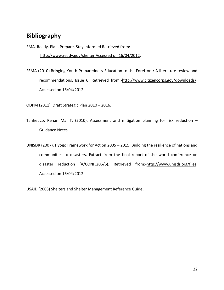## <span id="page-21-0"></span>**Bibliography**

EMA. Ready. Plan. Prepare. Stay Informed Retrieved from: [http://www.ready.gov/shelter.Accessed on 16/04/2012.](http://www.ready.gov/shelter.%20Accessed%20on%2016/04/2012)

FEMA (2010).Bringing Youth Preparedness Education to the Forefront: A literature review and recommendations. Issue 6. Retrieved from:[-http://www.citizencorps.gov/downloads/.](http://www.citizencorps.gov/downloads/) Accessed on 16/04/2012.

ODPM (2011). Draft Strategic Plan 2010 – 2016.

- Tanheuco, Renan Ma. T. (2010). Assessment and mitigation planning for risk reduction Guidance Notes.
- UNISDR (2007). Hyogo Framework for Action 2005 2015: Building the resilience of nations and communities to disasters. Extract from the final report of the world conference on disaster reduction (A/CONF.206/6). Retrieved from:[-http://www.unisdr.org/files.](http://www.unisdr.org/files) Accessed on 16/04/2012.

USAID (2003) Shelters and Shelter Management Reference Guide.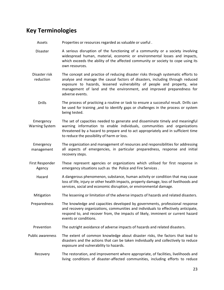## <span id="page-22-0"></span>**Key Terminologies**

- Assets Properties or resources regarded as valuable or useful .
- Disaster A serious disruption of the functioning of a community or a society involving widespread human, material, economic or environmental losses and impacts, which exceeds the ability of the affected community or society to cope using its own resources.
- Disaster risk reduction The concept and practice of reducing disaster risks through systematic efforts to analyse and manage the causal factors of disasters, including through reduced exposure to hazards, lessened vulnerability of people and property, wise management of land and the environment, and improved preparedness for adverse events.
	- Drills The process of practicing a routine or task to ensure a successful result. Drills can be used for training ,and to identify gaps or challenges in the process or system being tested.
- Emergency Warning System The set of capacities needed to generate and disseminate timely and meaningful warning information to enable individuals, communities and organizations threatened by a hazard to prepare and to act appropriately and in sufficient time to reduce the possibility of harm or loss.
- Emergency management The organization and management of resources and responsibilities for addressing all aspects of emergencies, in particular preparedness, response and initial recovery steps.
- First Responder Agency These represent agencies or organizations which utilised for first response in emergency situations such as the Police and Fire Services .
	- Hazard A dangerous phenomenon, substance, human activity or condition that may cause loss of life, injury or other health impacts, property damage, loss of livelihoods and services, social and economic disruption, or environmental damage.
	- Mitigation The lessening or limitation of the adverse impacts of hazards and related disasters.
- Preparedness The knowledge and capacities developed by governments, professional response and recovery organizations, communities and individuals to effectively anticipate, respond to, and recover from, the impacts of likely, imminent or current hazard events or conditions.
- Prevention The outright avoidance of adverse impacts of hazards and related disasters.
- Public awareness The extent of common knowledge about disaster risks, the factors that lead to disasters and the actions that can be taken individually and collectively to reduce exposure and vulnerability to hazards.
	- Recovery The restoration, and improvement where appropriate, of facilities, livelihoods and living conditions of disaster-affected communities, including efforts to reduce